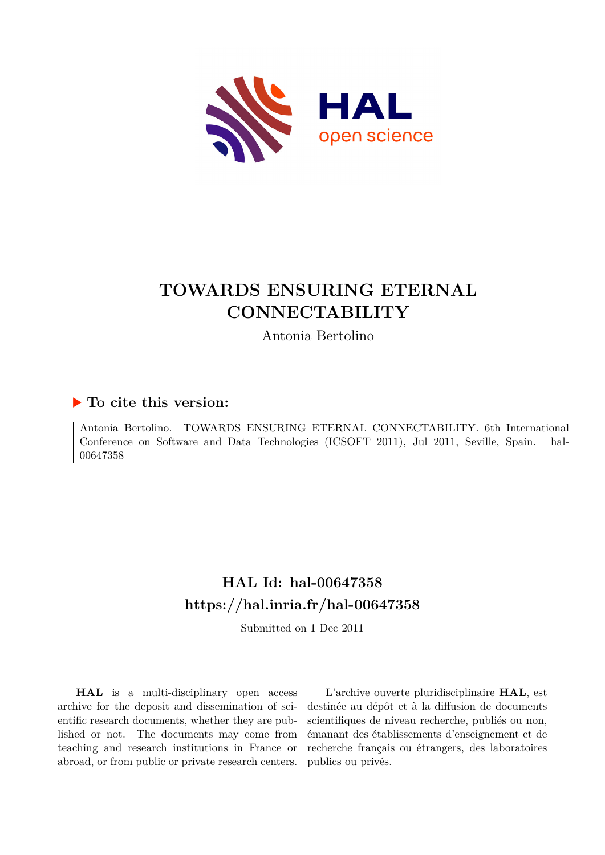

# **TOWARDS ENSURING ETERNAL CONNECTABILITY**

Antonia Bertolino

## **To cite this version:**

Antonia Bertolino. TOWARDS ENSURING ETERNAL CONNECTABILITY. 6th International Conference on Software and Data Technologies (ICSOFT 2011), Jul 2011, Seville, Spain. hal-00647358

## **HAL Id: hal-00647358 <https://hal.inria.fr/hal-00647358>**

Submitted on 1 Dec 2011

**HAL** is a multi-disciplinary open access archive for the deposit and dissemination of scientific research documents, whether they are published or not. The documents may come from teaching and research institutions in France or abroad, or from public or private research centers.

L'archive ouverte pluridisciplinaire **HAL**, est destinée au dépôt et à la diffusion de documents scientifiques de niveau recherche, publiés ou non, émanant des établissements d'enseignement et de recherche français ou étrangers, des laboratoires publics ou privés.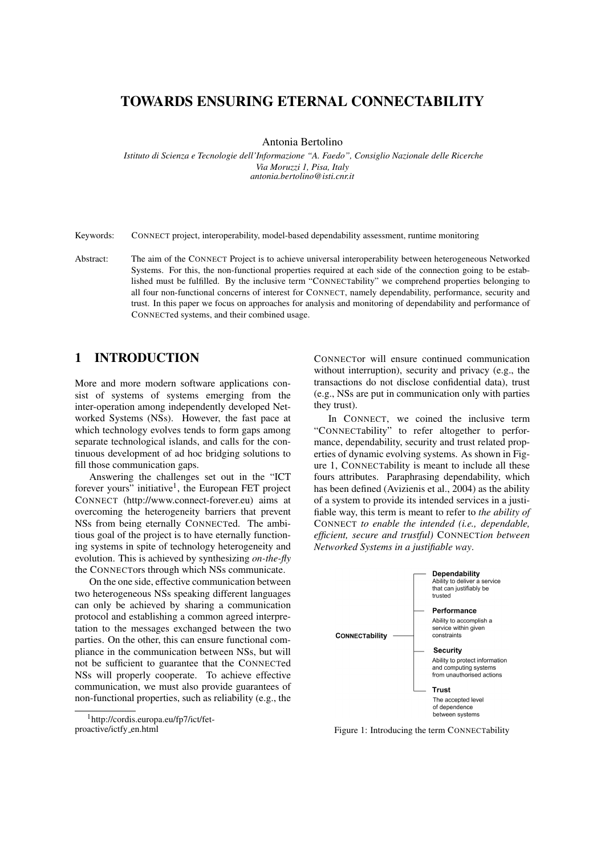#### TOWARDS ENSURING ETERNAL CONNECTABILITY

Antonia Bertolino

*Istituto di Scienza e Tecnologie dell'Informazione "A. Faedo", Consiglio Nazionale delle Ricerche Via Moruzzi 1, Pisa, Italy antonia.bertolino@isti.cnr.it*

Keywords: CONNECT project, interoperability, model-based dependability assessment, runtime monitoring

Abstract: The aim of the CONNECT Project is to achieve universal interoperability between heterogeneous Networked Systems. For this, the non-functional properties required at each side of the connection going to be established must be fulfilled. By the inclusive term "CONNECTability" we comprehend properties belonging to all four non-functional concerns of interest for CONNECT, namely dependability, performance, security and trust. In this paper we focus on approaches for analysis and monitoring of dependability and performance of CONNECTed systems, and their combined usage.

#### 1 INTRODUCTION

More and more modern software applications consist of systems of systems emerging from the inter-operation among independently developed Networked Systems (NSs). However, the fast pace at which technology evolves tends to form gaps among separate technological islands, and calls for the continuous development of ad hoc bridging solutions to fill those communication gaps.

Answering the challenges set out in the "ICT forever yours" initiative<sup>1</sup>, the European FET project CONNECT (http://www.connect-forever.eu) aims at overcoming the heterogeneity barriers that prevent NSs from being eternally CONNECTed. The ambitious goal of the project is to have eternally functioning systems in spite of technology heterogeneity and evolution. This is achieved by synthesizing *on-the-fly* the CONNECTors through which NSs communicate.

On the one side, effective communication between two heterogeneous NSs speaking different languages can only be achieved by sharing a communication protocol and establishing a common agreed interpretation to the messages exchanged between the two parties. On the other, this can ensure functional compliance in the communication between NSs, but will not be sufficient to guarantee that the CONNECTed NSs will properly cooperate. To achieve effective communication, we must also provide guarantees of non-functional properties, such as reliability (e.g., the

CONNECTor will ensure continued communication without interruption), security and privacy (e.g., the transactions do not disclose confidential data), trust (e.g., NSs are put in communication only with parties they trust).

In CONNECT, we coined the inclusive term "CONNECTability" to refer altogether to performance, dependability, security and trust related properties of dynamic evolving systems. As shown in Figure 1, CONNECTability is meant to include all these fours attributes. Paraphrasing dependability, which has been defined (Avizienis et al., 2004) as the ability of a system to provide its intended services in a justifiable way, this term is meant to refer to *the ability of* CONNECT *to enable the intended (i.e., dependable, efficient, secure and trustful)* CONNECT*ion between Networked Systems in a justifiable way*.



Figure 1: Introducing the term CONNECTability

<sup>1</sup>http://cordis.europa.eu/fp7/ict/fetproactive/ictfy en.html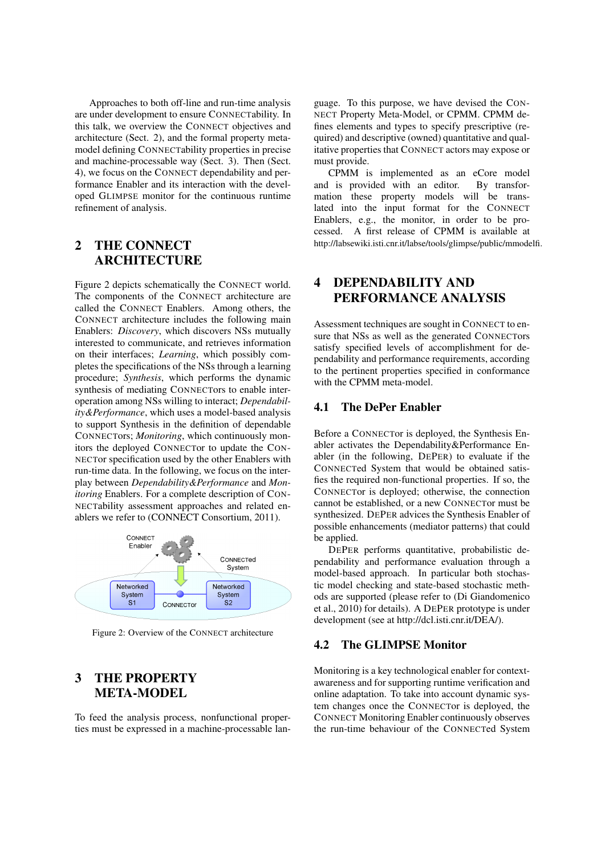Approaches to both off-line and run-time analysis are under development to ensure CONNECTability. In this talk, we overview the CONNECT objectives and architecture (Sect. 2), and the formal property metamodel defining CONNECTability properties in precise and machine-processable way (Sect. 3). Then (Sect. 4), we focus on the CONNECT dependability and performance Enabler and its interaction with the developed GLIMPSE monitor for the continuous runtime refinement of analysis.

## 2 THE CONNECT ARCHITECTURE

Figure 2 depicts schematically the CONNECT world. The components of the CONNECT architecture are called the CONNECT Enablers. Among others, the CONNECT architecture includes the following main Enablers: *Discovery*, which discovers NSs mutually interested to communicate, and retrieves information on their interfaces; *Learning*, which possibly completes the specifications of the NSs through a learning procedure; *Synthesis*, which performs the dynamic synthesis of mediating CONNECTors to enable interoperation among NSs willing to interact; *Dependability&Performance*, which uses a model-based analysis to support Synthesis in the definition of dependable CONNECTors; *Monitoring*, which continuously monitors the deployed CONNECTor to update the CON-NECTor specification used by the other Enablers with run-time data. In the following, we focus on the interplay between *Dependability&Performance* and *Monitoring* Enablers. For a complete description of CON-NECTability assessment approaches and related enablers we refer to (CONNECT Consortium, 2011).



Figure 2: Overview of the CONNECT architecture

#### 3 THE PROPERTY META-MODEL

To feed the analysis process, nonfunctional properties must be expressed in a machine-processable language. To this purpose, we have devised the CON-NECT Property Meta-Model, or CPMM. CPMM defines elements and types to specify prescriptive (required) and descriptive (owned) quantitative and qualitative properties that CONNECT actors may expose or must provide.

CPMM is implemented as an eCore model and is provided with an editor. By transformation these property models will be translated into the input format for the CONNECT Enablers, e.g., the monitor, in order to be processed. A first release of CPMM is available at http://labsewiki.isti.cnr.it/labse/tools/glimpse/public/mmodelfi.

## 4 DEPENDABILITY AND PERFORMANCE ANALYSIS

Assessment techniques are sought in CONNECT to ensure that NSs as well as the generated CONNECTors satisfy specified levels of accomplishment for dependability and performance requirements, according to the pertinent properties specified in conformance with the CPMM meta-model.

#### 4.1 The DePer Enabler

Before a CONNECTor is deployed, the Synthesis Enabler activates the Dependability&Performance Enabler (in the following, DEPER) to evaluate if the CONNECTed System that would be obtained satisfies the required non-functional properties. If so, the CONNECTor is deployed; otherwise, the connection cannot be established, or a new CONNECTor must be synthesized. DEPER advices the Synthesis Enabler of possible enhancements (mediator patterns) that could be applied.

DEPER performs quantitative, probabilistic dependability and performance evaluation through a model-based approach. In particular both stochastic model checking and state-based stochastic methods are supported (please refer to (Di Giandomenico et al., 2010) for details). A DEPER prototype is under development (see at http://dcl.isti.cnr.it/DEA/).

#### 4.2 The GLIMPSE Monitor

Monitoring is a key technological enabler for contextawareness and for supporting runtime verification and online adaptation. To take into account dynamic system changes once the CONNECTor is deployed, the CONNECT Monitoring Enabler continuously observes the run-time behaviour of the CONNECTed System